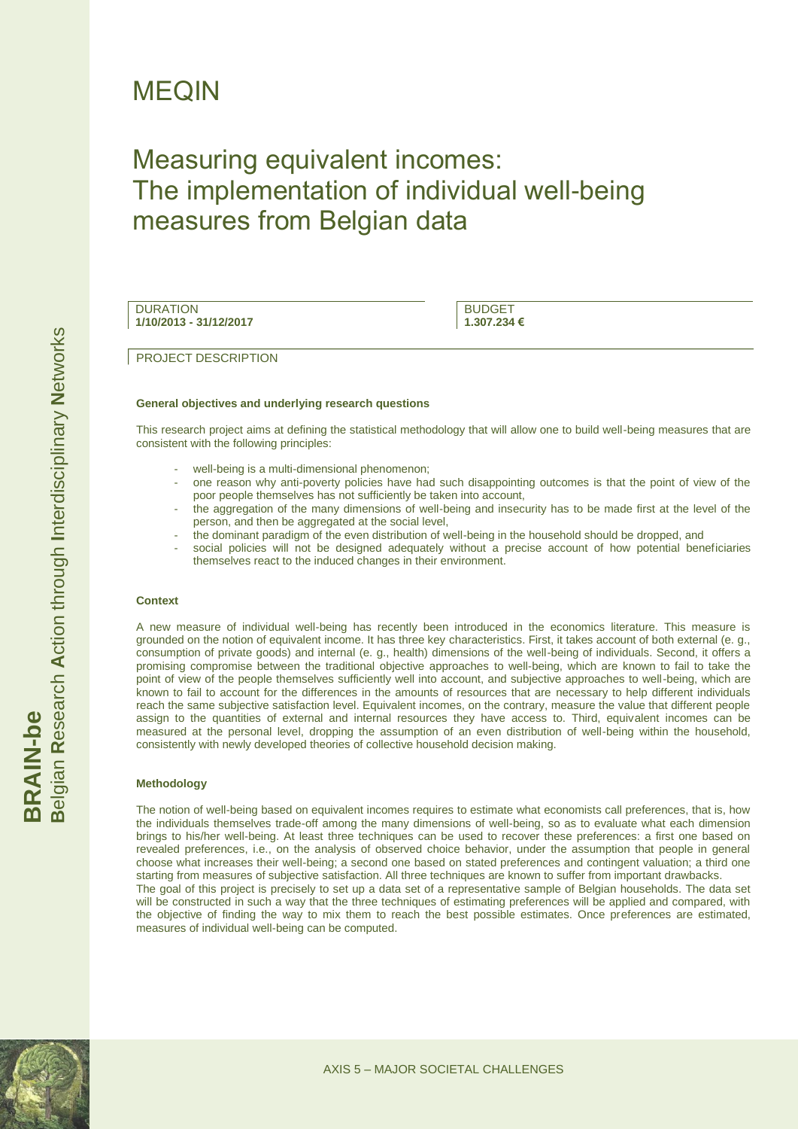# MEQIN

# Measuring equivalent incomes: The implementation of individual well-being measures from Belgian data

**DURATION 1/10/2013 - 31/12/2017**

BUDGET **1.307.234 €**

PROJECT DESCRIPTION

#### **General objectives and underlying research questions**

This research project aims at defining the statistical methodology that will allow one to build well-being measures that are consistent with the following principles:

- well-being is a multi-dimensional phenomenon;
- one reason why anti-poverty policies have had such disappointing outcomes is that the point of view of the poor people themselves has not sufficiently be taken into account,
- the aggregation of the many dimensions of well-being and insecurity has to be made first at the level of the person, and then be aggregated at the social level,
- the dominant paradigm of the even distribution of well-being in the household should be dropped, and
- social policies will not be designed adequately without a precise account of how potential beneficiaries themselves react to the induced changes in their environment.

#### **Context**

A new measure of individual well-being has recently been introduced in the economics literature. This measure is grounded on the notion of equivalent income. It has three key characteristics. First, it takes account of both external (e. g., consumption of private goods) and internal (e. g., health) dimensions of the well-being of individuals. Second, it offers a promising compromise between the traditional objective approaches to well-being, which are known to fail to take the point of view of the people themselves sufficiently well into account, and subjective approaches to well-being, which are known to fail to account for the differences in the amounts of resources that are necessary to help different individuals reach the same subjective satisfaction level. Equivalent incomes, on the contrary, measure the value that different people assign to the quantities of external and internal resources they have access to. Third, equivalent incomes can be measured at the personal level, dropping the assumption of an even distribution of well-being within the household, consistently with newly developed theories of collective household decision making.

#### **Methodology**

The notion of well-being based on equivalent incomes requires to estimate what economists call preferences, that is, how the individuals themselves trade-off among the many dimensions of well-being, so as to evaluate what each dimension brings to his/her well-being. At least three techniques can be used to recover these preferences: a first one based on revealed preferences, i.e., on the analysis of observed choice behavior, under the assumption that people in general choose what increases their well-being; a second one based on stated preferences and contingent valuation; a third one starting from measures of subjective satisfaction. All three techniques are known to suffer from important drawbacks. The goal of this project is precisely to set up a data set of a representative sample of Belgian households. The data set

will be constructed in such a way that the three techniques of estimating preferences will be applied and compared, with the objective of finding the way to mix them to reach the best possible estimates. Once preferences are estimated, measures of individual well-being can be computed.